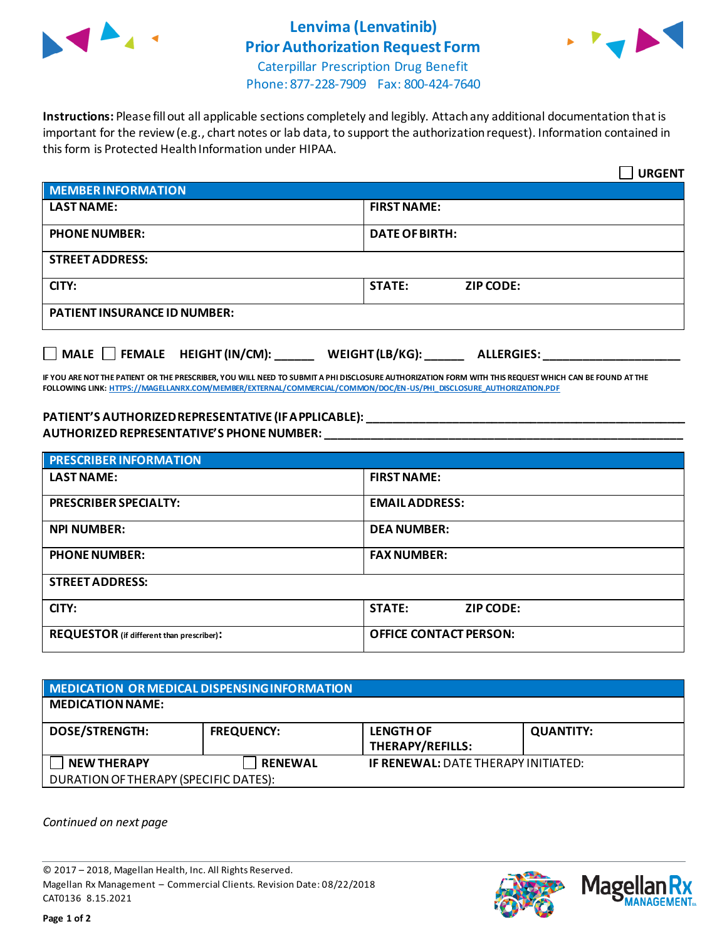

# **Lenvima (Lenvatinib) Prior Authorization Request Form**



Caterpillar Prescription Drug Benefit Phone: 877-228-7909 Fax: 800-424-7640

**Instructions:** Please fill out all applicable sections completely and legibly. Attach any additional documentation that is important for the review (e.g., chart notes or lab data, to support the authorization request). Information contained in this form is Protected Health Information under HIPAA.

|                                                                     | <b>URGENT</b>                     |  |  |
|---------------------------------------------------------------------|-----------------------------------|--|--|
| <b>MEMBER INFORMATION</b>                                           |                                   |  |  |
| <b>LAST NAME:</b>                                                   | <b>FIRST NAME:</b>                |  |  |
| <b>PHONE NUMBER:</b>                                                | <b>DATE OF BIRTH:</b>             |  |  |
| <b>STREET ADDRESS:</b>                                              |                                   |  |  |
| CITY:                                                               | <b>STATE:</b><br><b>ZIP CODE:</b> |  |  |
| <b>PATIENT INSURANCE ID NUMBER:</b>                                 |                                   |  |  |
| MALE FEMALE HEIGHT (IN/CM):<br>WEIGHT (LB/KG):<br><b>ALLERGIES:</b> |                                   |  |  |

**IF YOU ARE NOT THE PATIENT OR THE PRESCRIBER, YOU WILL NEED TO SUBMIT A PHI DISCLOSURE AUTHORIZATION FORM WITH THIS REQUEST WHICH CAN BE FOUND AT THE FOLLOWING LINK[: HTTPS://MAGELLANRX.COM/MEMBER/EXTERNAL/COMMERCIAL/COMMON/DOC/EN-US/PHI\\_DISCLOSURE\\_AUTHORIZATION.PDF](https://magellanrx.com/member/external/commercial/common/doc/en-us/PHI_Disclosure_Authorization.pdf)**

## **PATIENT'S AUTHORIZED REPRESENTATIVE (IF APPLICABLE): \_\_\_\_\_\_\_\_\_\_\_\_\_\_\_\_\_\_\_\_\_\_\_\_\_\_\_\_\_\_\_\_\_\_\_\_\_\_\_\_\_\_\_\_\_\_\_\_\_ AUTHORIZED REPRESENTATIVE'S PHONE NUMBER: \_\_\_\_\_\_\_\_\_\_\_\_\_\_\_\_\_\_\_\_\_\_\_\_\_\_\_\_\_\_\_\_\_\_\_\_\_\_\_\_\_\_\_\_\_\_\_\_\_\_\_\_\_\_\_**

| <b>PRESCRIBER INFORMATION</b>             |                               |  |  |
|-------------------------------------------|-------------------------------|--|--|
| <b>LAST NAME:</b>                         | <b>FIRST NAME:</b>            |  |  |
| <b>PRESCRIBER SPECIALTY:</b>              | <b>EMAIL ADDRESS:</b>         |  |  |
| <b>NPI NUMBER:</b>                        | <b>DEA NUMBER:</b>            |  |  |
| <b>PHONE NUMBER:</b>                      | <b>FAX NUMBER:</b>            |  |  |
| <b>STREET ADDRESS:</b>                    |                               |  |  |
| CITY:                                     | <b>STATE:</b><br>ZIP CODE:    |  |  |
| REQUESTOR (if different than prescriber): | <b>OFFICE CONTACT PERSON:</b> |  |  |

| MEDICATION OR MEDICAL DISPENSING INFORMATION |                   |                                            |                  |  |  |
|----------------------------------------------|-------------------|--------------------------------------------|------------------|--|--|
| <b>MEDICATION NAME:</b>                      |                   |                                            |                  |  |  |
| <b>DOSE/STRENGTH:</b>                        | <b>FREQUENCY:</b> | <b>LENGTH OF</b><br>THERAPY/REFILLS:       | <b>QUANTITY:</b> |  |  |
| <b>NEW THERAPY</b>                           | <b>RENEWAL</b>    | <b>IF RENEWAL: DATE THERAPY INITIATED:</b> |                  |  |  |
| DURATION OF THERAPY (SPECIFIC DATES):        |                   |                                            |                  |  |  |

*Continued on next page*

© 2017 – 2018, Magellan Health, Inc. All Rights Reserved. Magellan Rx Management – Commercial Clients. Revision Date: 08/22/2018 CAT0136 8.15.2021



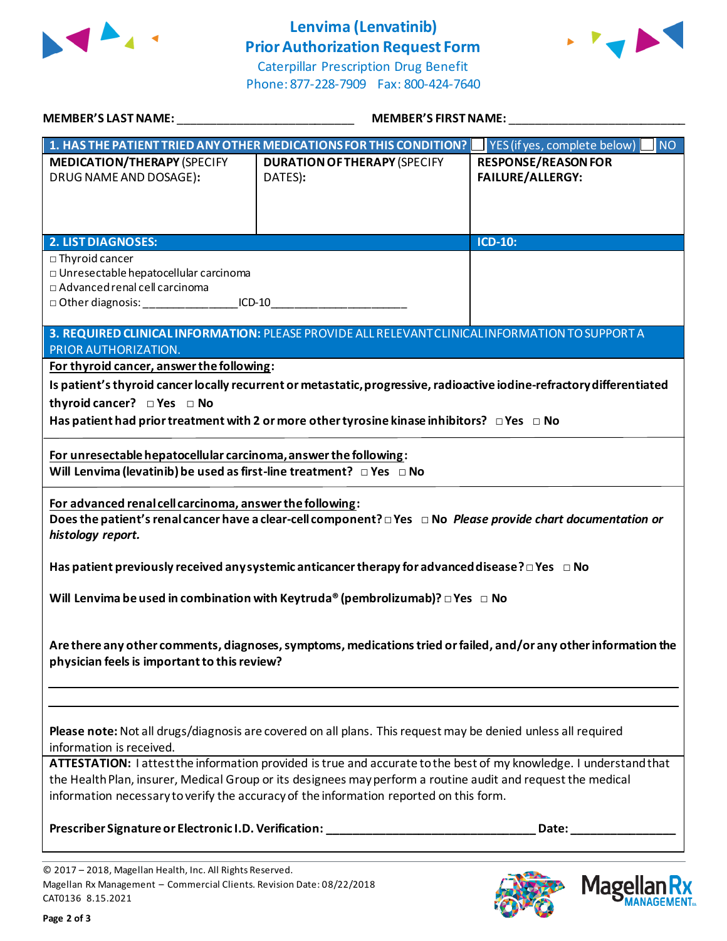

# **Lenvima (Lenvatinib) Prior Authorization Request Form**





Mage

**Ilan Rx**<br>ANAGEMENT®N

| <b>MEMBER'S LAST NAME:</b>                                                                                                                                                                                                                                                                                                   | <b>MEMBER'S FIRST NAME:</b>                                                                                            |                                                       |  |  |
|------------------------------------------------------------------------------------------------------------------------------------------------------------------------------------------------------------------------------------------------------------------------------------------------------------------------------|------------------------------------------------------------------------------------------------------------------------|-------------------------------------------------------|--|--|
|                                                                                                                                                                                                                                                                                                                              | 1. HAS THE PATIENT TRIED ANY OTHER MEDICATIONS FOR THIS CONDITION?                                                     | $\blacksquare$ NO<br>YES (if yes, complete below)     |  |  |
| <b>MEDICATION/THERAPY (SPECIFY</b><br>DRUG NAME AND DOSAGE):                                                                                                                                                                                                                                                                 | <b>DURATION OF THERAPY (SPECIFY</b><br>DATES):                                                                         | <b>RESPONSE/REASON FOR</b><br><b>FAILURE/ALLERGY:</b> |  |  |
| <b>2. LIST DIAGNOSES:</b>                                                                                                                                                                                                                                                                                                    |                                                                                                                        | <b>ICD-10:</b>                                        |  |  |
| □ Thyroid cancer<br>□ Unresectable hepatocellular carcinoma<br>□ Advanced renal cell carcinoma<br>□ Other diagnosis: ________________________ICD-10                                                                                                                                                                          |                                                                                                                        |                                                       |  |  |
|                                                                                                                                                                                                                                                                                                                              | 3. REQUIRED CLINICAL INFORMATION: PLEASE PROVIDE ALL RELEVANT CLINICAL INFORMATION TO SUPPORT A                        |                                                       |  |  |
| PRIOR AUTHORIZATION.                                                                                                                                                                                                                                                                                                         |                                                                                                                        |                                                       |  |  |
| For thyroid cancer, answer the following:                                                                                                                                                                                                                                                                                    |                                                                                                                        |                                                       |  |  |
|                                                                                                                                                                                                                                                                                                                              | Is patient's thyroid cancer locally recurrent or metastatic, progressive, radioactive iodine-refractory differentiated |                                                       |  |  |
| thyroid cancer? □ Yes □ No                                                                                                                                                                                                                                                                                                   |                                                                                                                        |                                                       |  |  |
|                                                                                                                                                                                                                                                                                                                              | Has patient had prior treatment with 2 or more other tyrosine kinase inhibitors? $\Box$ Yes $\Box$ No                  |                                                       |  |  |
| For unresectable hepatocellular carcinoma, answer the following:<br>Will Lenvima (levatinib) be used as first-line treatment? $\Box$ Yes $\Box$ No                                                                                                                                                                           |                                                                                                                        |                                                       |  |  |
| For advanced renal cell carcinoma, answer the following:<br>Does the patient's renal cancer have a clear-cell component? $\Box$ Yes $\Box$ No Please provide chart documentation or<br>histology report.                                                                                                                     |                                                                                                                        |                                                       |  |  |
| Has patient previously received any systemic anticancer therapy for advanced disease? $\Box$ Yes $\Box$ No                                                                                                                                                                                                                   |                                                                                                                        |                                                       |  |  |
| Will Lenvima be used in combination with Keytruda® (pembrolizumab)? $\Box$ Yes $\Box$ No                                                                                                                                                                                                                                     |                                                                                                                        |                                                       |  |  |
| Are there any other comments, diagnoses, symptoms, medications tried or failed, and/or any other information the<br>physician feels is important to this review?                                                                                                                                                             |                                                                                                                        |                                                       |  |  |
| Please note: Not all drugs/diagnosis are covered on all plans. This request may be denied unless all required<br>information is received.                                                                                                                                                                                    |                                                                                                                        |                                                       |  |  |
| ATTESTATION: I attest the information provided is true and accurate to the best of my knowledge. I understand that<br>the Health Plan, insurer, Medical Group or its designees may perform a routine audit and request the medical<br>information necessary to verify the accuracy of the information reported on this form. |                                                                                                                        |                                                       |  |  |
|                                                                                                                                                                                                                                                                                                                              | Prescriber Signature or Electronic I.D. Verification: ___________________________________Date: ____                    |                                                       |  |  |
| © 2017 - 2018, Magellan Health, Inc. All Rights Reserved                                                                                                                                                                                                                                                                     |                                                                                                                        |                                                       |  |  |

<sup>© 2017</sup> – 2018, Magellan Health, Inc. All Rights Reserved. Magellan Rx Management – Commercial Clients. Revision Date: 08/22/2018 CAT0136 8.15.2021